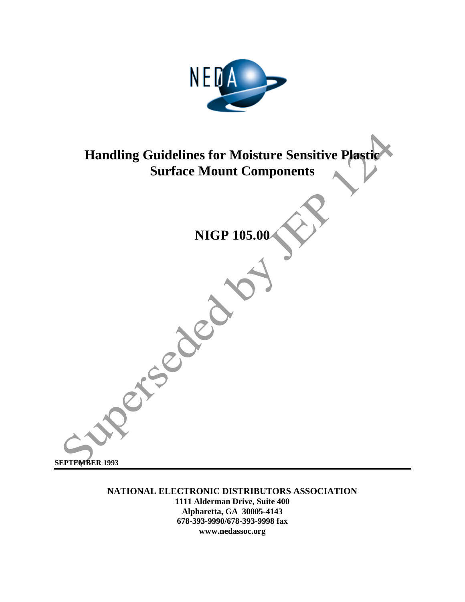

## **Handling Guidelines for Moisture Sensitive Plasti Surface Mount Components**

# **NIGP 105.00**

Principal

**SEPTEMBER 1993**

**NATIONAL ELECTRONIC DISTRIBUTORS ASSOCIATION 1111 Alderman Drive, Suite 400 Alpharetta, GA 30005-4143 678-393-9990/678-393-9998 fax www.nedassoc.org**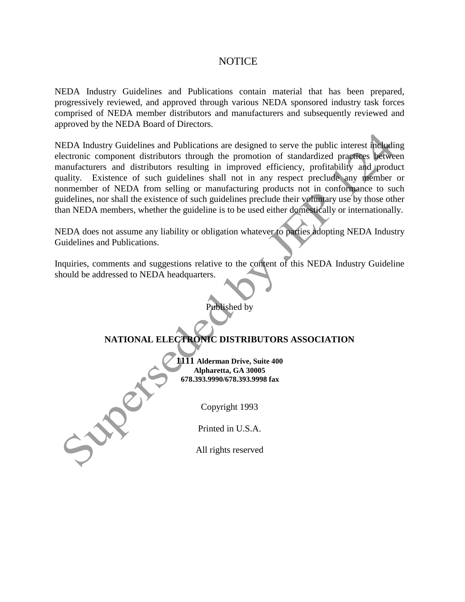#### **NOTICE**

NEDA Industry Guidelines and Publications contain material that has been prepared, progressively reviewed, and approved through various NEDA sponsored industry task forces comprised of NEDA member distributors and manufacturers and subsequently reviewed and approved by the NEDA Board of Directors.

NEDA Industry Guidelines and Publications are designed to serve the public interest including electronic component distributors through the promotion of standardized practices between manufacturers and distributors resulting in improved efficiency, profitability and product quality. Existence of such guidelines shall not in any respect preclude any member or nonmember of NEDA from selling or manufacturing products not in conformance to such guidelines, nor shall the existence of such guidelines preclude their voluntary use by those other than NEDA members, whether the guideline is to be used either domestically or internationally.

NEDA does not assume any liability or obligation whatever to parties adopting NEDA Industry Guidelines and Publications.

Inquiries, comments and suggestions relative to the content of this NEDA Industry Guideline should be addressed to NEDA headquarters.

Published by

#### **NATIONAL ELECTRONIC DISTRIBUTORS ASSOCIATION**

**1111 Alderman Drive, Suite 400 Alpharetta, GA 30005 678.393.9990/678.393.9998 fax**

Copyright 1993

Printed in U.S.A.

July

All rights reserved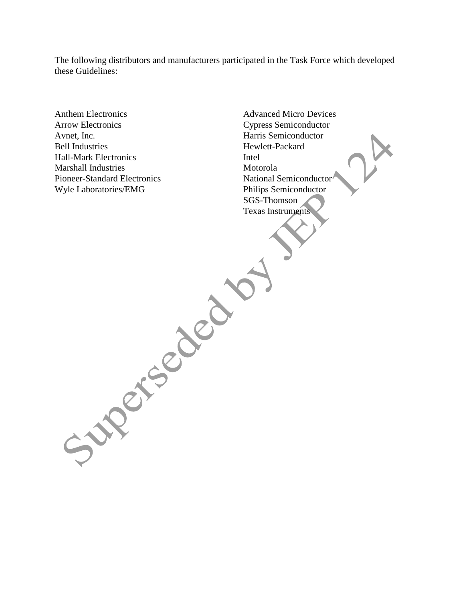The following distributors and manufacturers participated in the Task Force which developed these Guidelines:

- Anthem Electronics Arrow Electronics Avnet, Inc. Bell Industries Hall-Mark Electronics Marshall Industries Pioneer-Standard Electronics Wyle Laboratories/EMG
- Advanced Micro Devices Cypress Semiconductor Harris Semiconductor Hewlett-Packard Intel Motorola National Semiconductor Philips Semiconductor SGS-Thomson Texas InstrumentsSuperstand of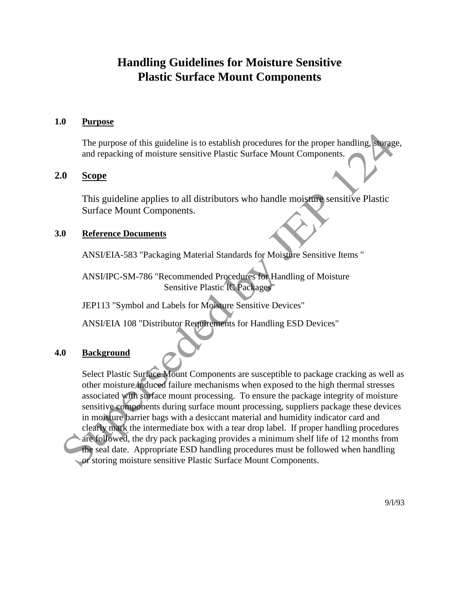### **Handling Guidelines for Moisture Sensitive Plastic Surface Mount Components**

#### **1.0 Purpose**

The purpose of this guideline is to establish procedures for the proper handling, storage, and repacking of moisture sensitive Plastic Surface Mount Components.

#### **2.0 Scope**

This guideline applies to all distributors who handle moisture sensitive Plastic Surface Mount Components.

#### **3.0 Reference Documents**

ANSI/EIA-583 "Packaging Material Standards for Moisture Sensitive Items "

ANSI/IPC-SM-786 "Recommended Procedures for Handling of Moisture Sensitive Plastic IC Packages"

JEP113 "Symbol and Labels for Moisture Sensitive Devices"

ANSI/EIA 108 "Distributor Requirements for Handling ESD Devices"

#### **4.0 Background**

Select Plastic Surface Mount Components are susceptible to package cracking as well as other moisture induced failure mechanisms when exposed to the high thermal stresses associated with surface mount processing. To ensure the package integrity of moisture sensitive components during surface mount processing, suppliers package these devices in moisture barrier bags with a desiccant material and humidity indicator card and clearly mark the intermediate box with a tear drop label. If proper handling procedures are followed, the dry pack packaging provides a minimum shelf life of 12 months from the seal date. Appropriate ESD handling procedures must be followed when handling or storing moisture sensitive Plastic Surface Mount Components.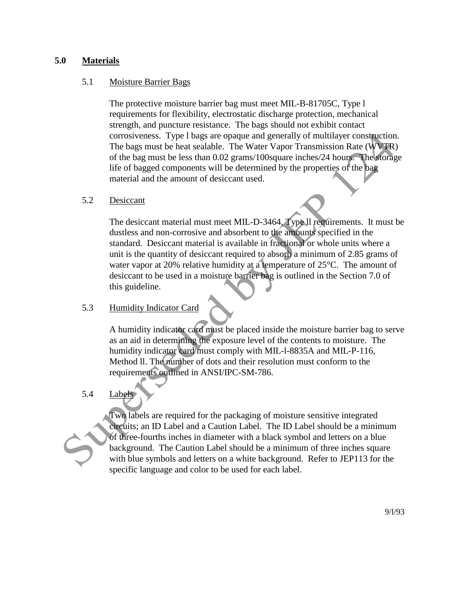#### **5.0 Materials**

#### 5.1 Moisture Barrier Bags

The protective moisture barrier bag must meet MIL-B-81705C, Type l requirements for flexibility, electrostatic discharge protection, mechanical strength, and puncture resistance. The bags should not exhibit contact corrosiveness. Type l bags are opaque and generally of multilayer construction. The bags must be heat sealable. The Water Vapor Transmission Rate (WVTR) of the bag must be less than 0.02 grams/100square inches/24 hours. The storage life of bagged components will be determined by the properties of the bag material and the amount of desiccant used.

#### 5.2 Desiccant

The desiccant material must meet MIL-D-3464, Type ll requirements. It must be dustless and non-corrosive and absorbent to the amounts specified in the standard. Desiccant material is available in fractional or whole units where a unit is the quantity of desiccant required to absorb a minimum of 2.85 grams of water vapor at 20% relative humidity at a temperature of 25°C. The amount of desiccant to be used in a moisture barrier bag is outlined in the Section 7.0 of this guideline.

#### 5.3 Humidity Indicator Card

A humidity indicator card must be placed inside the moisture barrier bag to serve as an aid in determining the exposure level of the contents to moisture. The humidity indicator card must comply with MIL-l-8835A and MIL-P-116, Method ll. The number of dots and their resolution must conform to the requirements outlined in ANSI/IPC-SM-786.

#### 5.4 Labels



Two labels are required for the packaging of moisture sensitive integrated circuits; an ID Label and a Caution Label. The ID Label should be a minimum of three-fourths inches in diameter with a black symbol and letters on a blue background. The Caution Label should be a minimum of three inches square with blue symbols and letters on a white background. Refer to JEP113 for the specific language and color to be used for each label.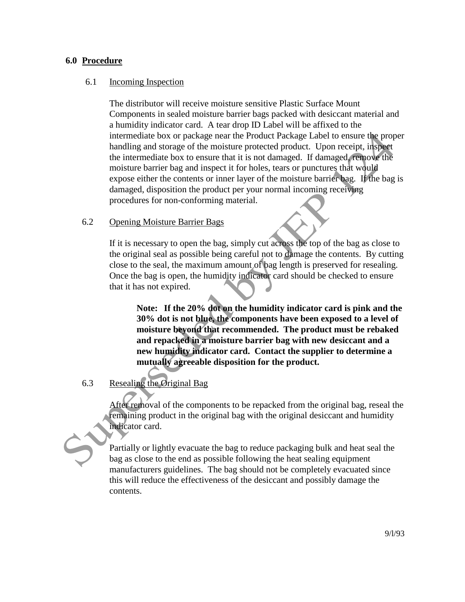#### **6.0 Procedure**

#### 6.1 Incoming Inspection

The distributor will receive moisture sensitive Plastic Surface Mount Components in sealed moisture barrier bags packed with desiccant material and a humidity indicator card. A tear drop ID Label will be affixed to the intermediate box or package near the Product Package Label to ensure the proper handling and storage of the moisture protected product. Upon receipt, inspect the intermediate box to ensure that it is not damaged. If damaged, remove the moisture barrier bag and inspect it for holes, tears or punctures that would expose either the contents or inner layer of the moisture barrier bag. If the bag is damaged, disposition the product per your normal incoming receiving procedures for non-conforming material.

#### 6.2 Opening Moisture Barrier Bags

If it is necessary to open the bag, simply cut across the top of the bag as close to the original seal as possible being careful not to damage the contents. By cutting close to the seal, the maximum amount of bag length is preserved for resealing. Once the bag is open, the humidity indicator card should be checked to ensure that it has not expired.

**Note: If the 20% dot on the humidity indicator card is pink and the 30% dot is not blue, the components have been exposed to a level of moisture beyond that recommended. The product must be rebaked and repacked in a moisture barrier bag with new desiccant and a new humidity indicator card. Contact the supplier to determine a mutually agreeable disposition for the product.**

#### 6.3 Resealing the Original Bag

After removal of the components to be repacked from the original bag, reseal the remaining product in the original bag with the original desiccant and humidity indicator card.

Partially or lightly evacuate the bag to reduce packaging bulk and heat seal the bag as close to the end as possible following the heat sealing equipment manufacturers guidelines. The bag should not be completely evacuated since this will reduce the effectiveness of the desiccant and possibly damage the contents.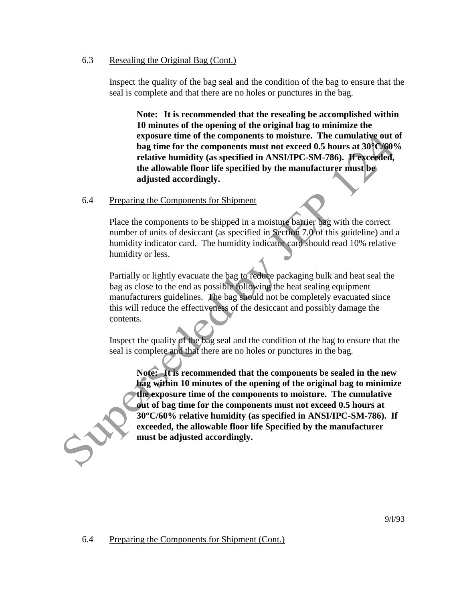#### 6.3 Resealing the Original Bag (Cont.)

Inspect the quality of the bag seal and the condition of the bag to ensure that the seal is complete and that there are no holes or punctures in the bag.

**Note: It is recommended that the resealing be accomplished within 10 minutes of the opening of the original bag to minimize the exposure time of the components to moisture. The cumulative out of bag time for the components must not exceed 0.5 hours at 30°C/60% relative humidity (as specified in ANSI/IPC-SM-786). If exceeded, the allowable floor life specified by the manufacturer must be adjusted accordingly.**

#### 6.4 Preparing the Components for Shipment

Place the components to be shipped in a moisture barrier bag with the correct number of units of desiccant (as specified in Section 7.0 of this guideline) and a humidity indicator card. The humidity indicator card should read 10% relative humidity or less.

Partially or lightly evacuate the bag to reduce packaging bulk and heat seal the bag as close to the end as possible following the heat sealing equipment manufacturers guidelines. The bag should not be completely evacuated since this will reduce the effectiveness of the desiccant and possibly damage the contents.

Inspect the quality of the bag seal and the condition of the bag to ensure that the seal is complete and that there are no holes or punctures in the bag.

**Note: It is recommended that the components be sealed in the new bag within 10 minutes of the opening of the original bag to minimize the exposure time of the components to moisture. The cumulative out of bag time for the components must not exceed 0.5 hours at 30°C/60% relative humidity (as specified in ANSI/IPC-SM-786). If exceeded, the allowable floor life Specified by the manufacturer must be adjusted accordingly.**

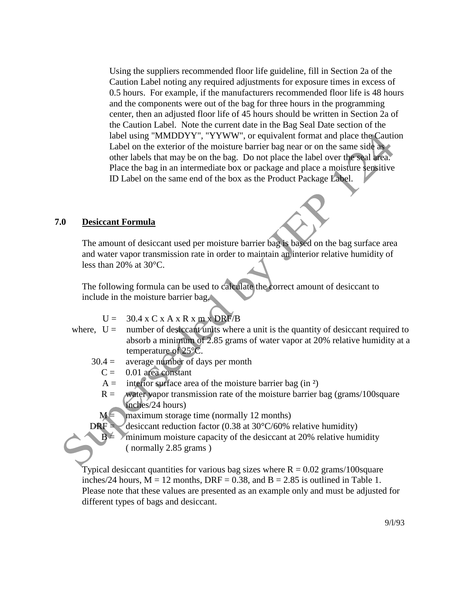Using the suppliers recommended floor life guideline, fill in Section 2a of the Caution Label noting any required adjustments for exposure times in excess of 0.5 hours. For example, if the manufacturers recommended floor life is 48 hours and the components were out of the bag for three hours in the programming center, then an adjusted floor life of 45 hours should be written in Section 2a of the Caution Label. Note the current date in the Bag Seal Date section of the label using "MMDDYY", "YYWW", or equivalent format and place the Caution Label on the exterior of the moisture barrier bag near or on the same side as other labels that may be on the bag. Do not place the label over the seal area. Place the bag in an intermediate box or package and place a moisture sensitive ID Label on the same end of the box as the Product Package Label.

#### **7.0 Desiccant Formula**

The amount of desiccant used per moisture barrier bag is based on the bag surface area and water vapor transmission rate in order to maintain an interior relative humidity of less than 20% at 30°C.

The following formula can be used to calculate the correct amount of desiccant to include in the moisture barrier bag.

$$
U = 30.4 \times C \times A \times R \times m \times DRF/B
$$

- where,  $U =$  number of desiccant units where a unit is the quantity of desiccant required to absorb a minimum of 2.85 grams of water vapor at 20% relative humidity at a temperature of 25°C.
	- $30.4 =$  average number of days per month
		- $C = 0.01$  area constant
		- $A =$  interior surface area of the moisture barrier bag (in <sup>2</sup>)
		- $R =$  water vapor transmission rate of the moisture barrier bag (grams/100 square inches/24 hours)

 $M = \frac{1}{2}$  maximum storage time (normally 12 months)

DRF = desiccant reduction factor (0.38 at 30 $\degree$ C/60% relative humidity)

 $B = \sqrt{\frac{B}{m}}$  minimum moisture capacity of the desiccant at 20% relative humidity ( normally 2.85 grams )

Typical desiccant quantities for various bag sizes where  $R = 0.02$  grams/100 square inches/24 hours,  $M = 12$  months, DRF = 0.38, and  $B = 2.85$  is outlined in Table 1. Please note that these values are presented as an example only and must be adjusted for different types of bags and desiccant.